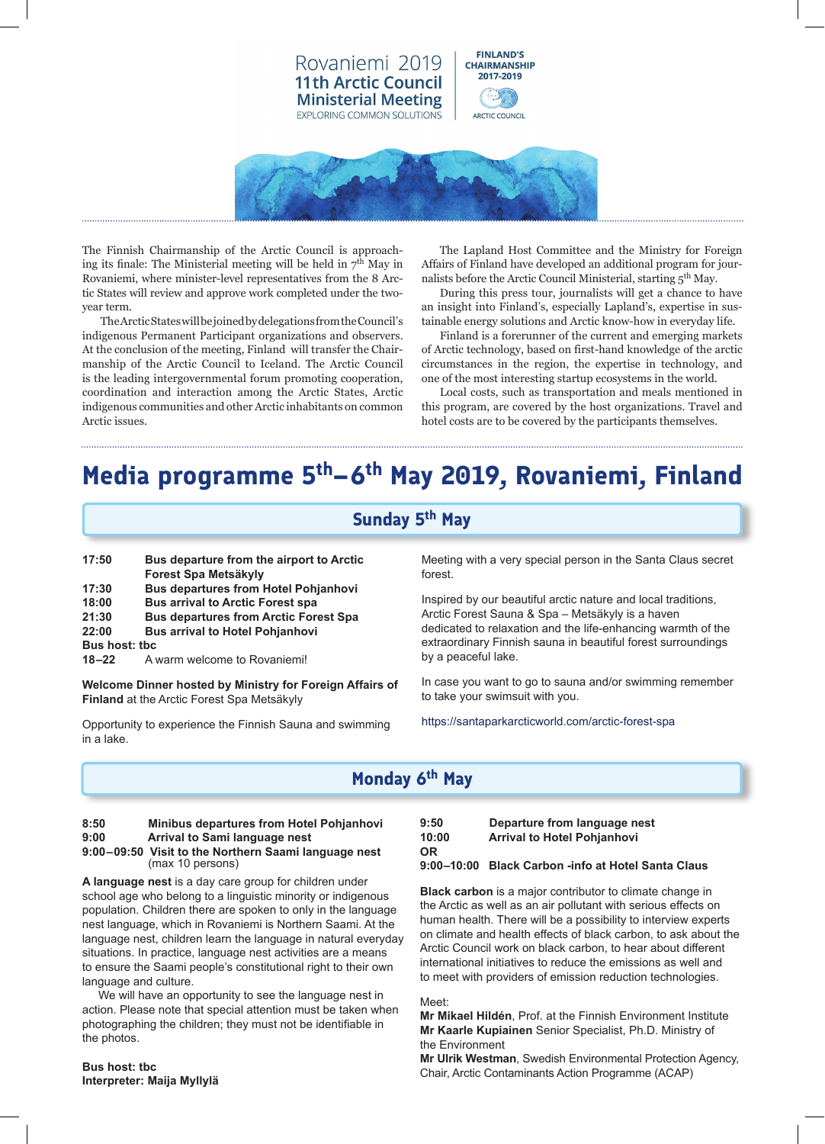

The Finnish Chairmanship of the Arctic Council is approaching its finale: The Ministerial meeting will be held in  $7<sup>th</sup>$  May in Rovaniemi, where minister-level representatives from the 8 Arctic States will review and approve work completed under the twoyear term.

The Arctic States will be joined by delegations from the Council's indigenous Permanent Participant organizations and observers. At the conclusion of the meeting, Finland will transfer the Chairmanship of the Arctic Council to Iceland. The Arctic Council is the leading intergovernmental forum promoting cooperation, coordination and interaction among the Arctic States, Arctic indigenous communities and other Arctic inhabitants on common Arctic issues.

The Lapland Host Committee and the Ministry for Foreign Affairs of Finland have developed an additional program for journalists before the Arctic Council Ministerial, starting 5<sup>th</sup> May.

During this press tour, journalists will get a chance to have an insight into Finland's, especially Lapland's, expertise in sustainable energy solutions and Arctic know-how in everyday life.

Finland is a forerunner of the current and emerging markets of Arctic technology, based on first-hand knowledge of the arctic circumstances in the region, the expertise in technology, and one of the most interesting startup ecosystems in the world.

Local costs, such as transportation and meals mentioned in this program, are covered by the host organizations. Travel and hotel costs are to be covered by the participants themselves.

# **Media programme 5th–6th May 2019, Rovaniemi, Finland**

## **Sunday 5th May**

**17:50 Bus departure from the airport to Arctic Forest Spa Metsäkyly 17:30 Bus departures from Hotel Pohjanhovi 18:00 Bus arrival to Arctic Forest spa 21:30 Bus departures from Arctic Forest Spa 22:00 Bus arrival to Hotel Pohjanhovi Bus host: tbc 18–22** A warm welcome to Rovaniemi!

**Welcome Dinner hosted by Ministry for Foreign Affairs of Finland** at the Arctic Forest Spa Metsäkyly

Opportunity to experience the Finnish Sauna and swimming in a lake.

Meeting with a very special person in the Santa Claus secret forest.

Inspired by our beautiful arctic nature and local traditions, Arctic Forest Sauna & Spa – Metsäkyly is a haven dedicated to relaxation and the life-enhancing warmth of the extraordinary Finnish sauna in beautiful forest surroundings by a peaceful lake.

In case you want to go to sauna and/or swimming remember to take your swimsuit with you.

https://santaparkarcticworld.com/arctic-forest-spa

# **Monday 6th May**

### **8:50 Minibus departures from Hotel Pohjanhovi 9:00 Arrival to Sami language nest**

#### **9:00–09:50 Visit to the Northern Saami language nest** (max 10 persons)

**A language nest** is a day care group for children under school age who belong to a linguistic minority or indigenous population. Children there are spoken to only in the language nest language, which in Rovaniemi is Northern Saami. At the language nest, children learn the language in natural everyday situations. In practice, language nest activities are a means to ensure the Saami people's constitutional right to their own language and culture.

 We will have an opportunity to see the language nest in action. Please note that special attention must be taken when photographing the children; they must not be identifiable in the photos.

**9:50 Departure from language nest Arrival to Hotel Pohjanhovi OR** 

### **9:00–10:00 Black Carbon -info at Hotel Santa Claus**

**Black carbon** is a major contributor to climate change in the Arctic as well as an air pollutant with serious effects on human health. There will be a possibility to interview experts on climate and health effects of black carbon, to ask about the Arctic Council work on black carbon, to hear about different international initiatives to reduce the emissions as well and to meet with providers of emission reduction technologies.

### Meet:

**Mr Mikael Hildén**, Prof. at the Finnish Environment Institute **Mr Kaarle Kupiainen** Senior Specialist, Ph.D. Ministry of the Environment

**Bus host: tbc Interpreter: Maija Myllylä** **Mr Ulrik Westman**, Swedish Environmental Protection Agency, Chair, Arctic Contaminants Action Programme (ACAP)